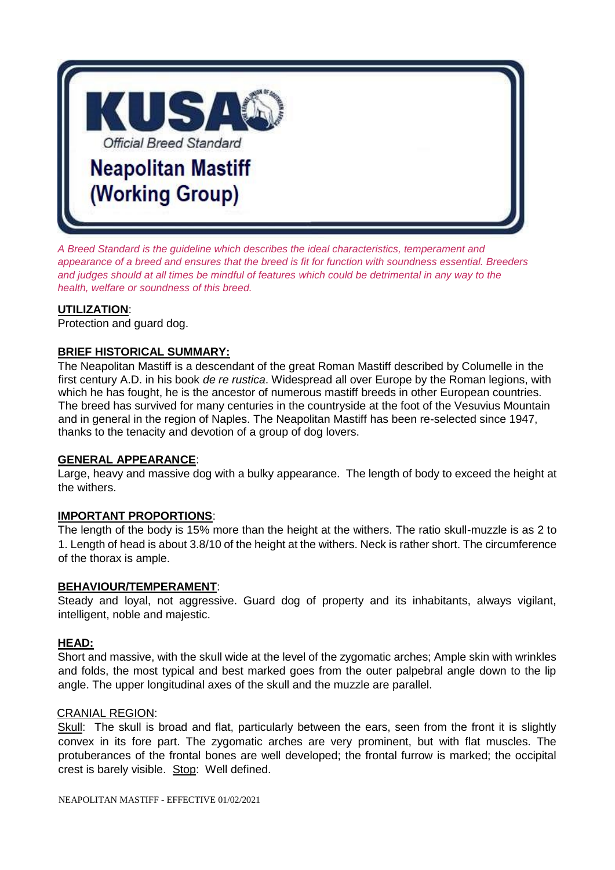

*A Breed Standard is the guideline which describes the ideal characteristics, temperament and appearance of a breed and ensures that the breed is fit for function with soundness essential. Breeders and judges should at all times be mindful of features which could be detrimental in any way to the health, welfare or soundness of this breed.*

## **UTILIZATION**:

Protection and guard dog.

#### **BRIEF HISTORICAL SUMMARY:**

The Neapolitan Mastiff is a descendant of the great Roman Mastiff described by Columelle in the first century A.D. in his book *de re rustica*. Widespread all over Europe by the Roman legions, with which he has fought, he is the ancestor of numerous mastiff breeds in other European countries. The breed has survived for many centuries in the countryside at the foot of the Vesuvius Mountain and in general in the region of Naples. The Neapolitan Mastiff has been re-selected since 1947, thanks to the tenacity and devotion of a group of dog lovers.

#### **GENERAL APPEARANCE**:

Large, heavy and massive dog with a bulky appearance. The length of body to exceed the height at the withers.

#### **IMPORTANT PROPORTIONS**:

The length of the body is 15% more than the height at the withers. The ratio skull-muzzle is as 2 to 1. Length of head is about 3.8/10 of the height at the withers. Neck is rather short. The circumference of the thorax is ample.

#### **BEHAVIOUR/TEMPERAMENT**:

Steady and loyal, not aggressive. Guard dog of property and its inhabitants, always vigilant, intelligent, noble and majestic.

#### **HEAD:**

Short and massive, with the skull wide at the level of the zygomatic arches; Ample skin with wrinkles and folds, the most typical and best marked goes from the outer palpebral angle down to the lip angle. The upper longitudinal axes of the skull and the muzzle are parallel.

#### CRANIAL REGION:

Skull: The skull is broad and flat, particularly between the ears, seen from the front it is slightly convex in its fore part. The zygomatic arches are very prominent, but with flat muscles. The protuberances of the frontal bones are well developed; the frontal furrow is marked; the occipital crest is barely visible. Stop: Well defined.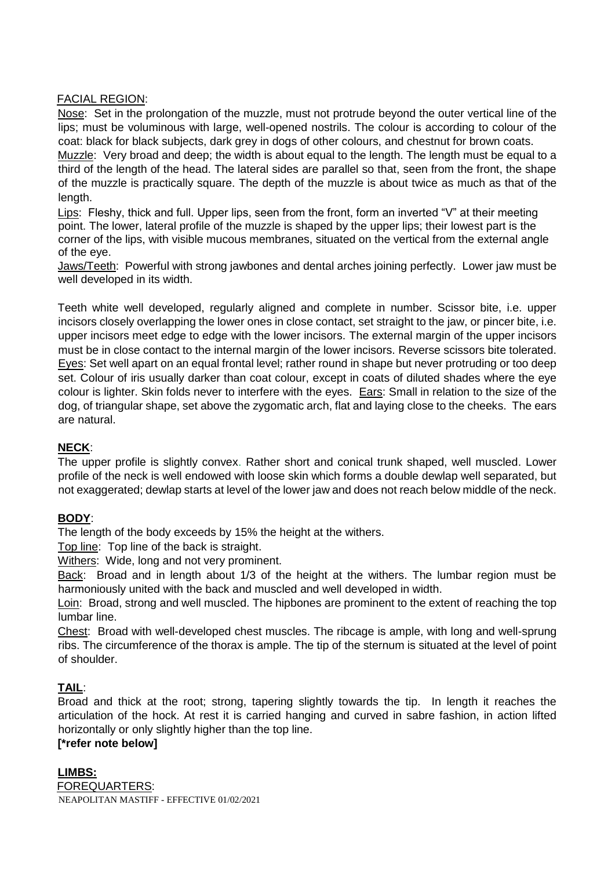## FACIAL REGION:

Nose: Set in the prolongation of the muzzle, must not protrude beyond the outer vertical line of the lips; must be voluminous with large, well-opened nostrils. The colour is according to colour of the coat: black for black subjects, dark grey in dogs of other colours, and chestnut for brown coats. Muzzle: Very broad and deep; the width is about equal to the length. The length must be equal to a third of the length of the head. The lateral sides are parallel so that, seen from the front, the shape of the muzzle is practically square. The depth of the muzzle is about twice as much as that of the length.

Lips: Fleshy, thick and full. Upper lips, seen from the front, form an inverted "V" at their meeting point. The lower, lateral profile of the muzzle is shaped by the upper lips; their lowest part is the corner of the lips, with visible mucous membranes, situated on the vertical from the external angle of the eye.

Jaws/Teeth: Powerful with strong jawbones and dental arches joining perfectly. Lower jaw must be well developed in its width.

Teeth white well developed, regularly aligned and complete in number. Scissor bite, i.e. upper incisors closely overlapping the lower ones in close contact, set straight to the jaw, or pincer bite, i.e. upper incisors meet edge to edge with the lower incisors. The external margin of the upper incisors must be in close contact to the internal margin of the lower incisors. Reverse scissors bite tolerated. Eyes: Set well apart on an equal frontal level; rather round in shape but never protruding or too deep set. Colour of iris usually darker than coat colour, except in coats of diluted shades where the eye colour is lighter. Skin folds never to interfere with the eyes. Ears: Small in relation to the size of the dog, of triangular shape, set above the zygomatic arch, flat and laying close to the cheeks. The ears are natural.

# **NECK**:

The upper profile is slightly convex. Rather short and conical trunk shaped, well muscled. Lower profile of the neck is well endowed with loose skin which forms a double dewlap well separated, but not exaggerated; dewlap starts at level of the lower jaw and does not reach below middle of the neck.

# **BODY**:

The length of the body exceeds by 15% the height at the withers.

Top line: Top line of the back is straight.

Withers: Wide, long and not very prominent.

Back: Broad and in length about 1/3 of the height at the withers. The lumbar region must be harmoniously united with the back and muscled and well developed in width.

Loin: Broad, strong and well muscled. The hipbones are prominent to the extent of reaching the top lumbar line.

Chest: Broad with well-developed chest muscles. The ribcage is ample, with long and well-sprung ribs. The circumference of the thorax is ample. The tip of the sternum is situated at the level of point of shoulder.

# **TAIL**:

Broad and thick at the root; strong, tapering slightly towards the tip. In length it reaches the articulation of the hock. At rest it is carried hanging and curved in sabre fashion, in action lifted horizontally or only slightly higher than the top line.

# **[\*refer note below]**

NEAPOLITAN MASTIFF - EFFECTIVE 01/02/2021 **LIMBS:** FOREQUARTERS: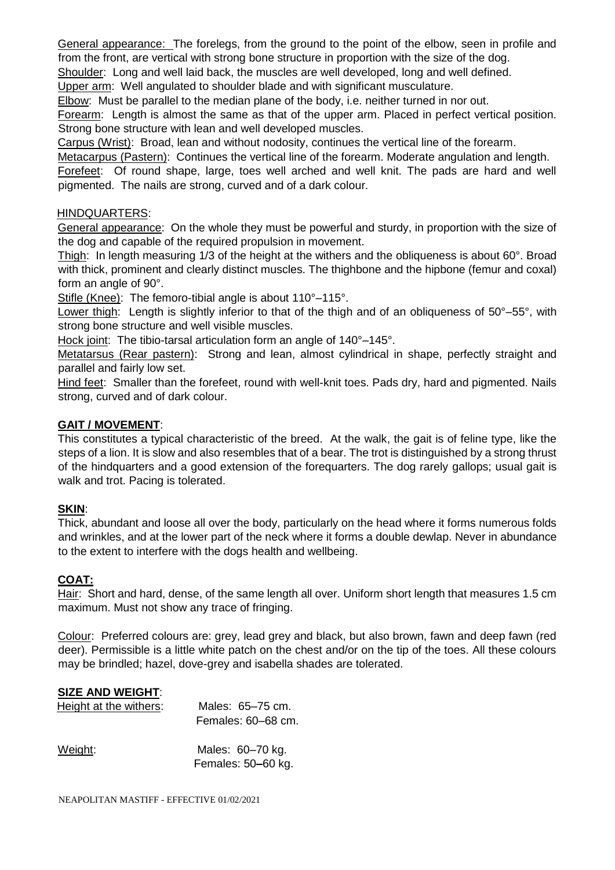General appearance: The forelegs, from the ground to the point of the elbow, seen in profile and from the front, are vertical with strong bone structure in proportion with the size of the dog.

Shoulder: Long and well laid back, the muscles are well developed, long and well defined.

Upper arm: Well angulated to shoulder blade and with significant musculature.

Elbow: Must be parallel to the median plane of the body, i.e. neither turned in nor out.

Forearm: Length is almost the same as that of the upper arm. Placed in perfect vertical position. Strong bone structure with lean and well developed muscles.

Carpus (Wrist): Broad, lean and without nodosity, continues the vertical line of the forearm.

Metacarpus (Pastern): Continues the vertical line of the forearm. Moderate angulation and length. Forefeet: Of round shape, large, toes well arched and well knit. The pads are hard and well pigmented. The nails are strong, curved and of a dark colour.

### HINDQUARTERS:

General appearance: On the whole they must be powerful and sturdy, in proportion with the size of the dog and capable of the required propulsion in movement.

Thigh: In length measuring 1/3 of the height at the withers and the obliqueness is about 60°. Broad with thick, prominent and clearly distinct muscles. The thighbone and the hipbone (femur and coxal) form an angle of 90°.

Stifle (Knee): The femoro-tibial angle is about 110°-115°.

Lower thigh: Length is slightly inferior to that of the thigh and of an obliqueness of 50°–55°, with strong bone structure and well visible muscles.

Hock joint: The tibio-tarsal articulation form an angle of 140°–145°.

Metatarsus (Rear pastern): Strong and lean, almost cylindrical in shape, perfectly straight and parallel and fairly low set.

Hind feet: Smaller than the forefeet, round with well-knit toes. Pads dry, hard and pigmented. Nails strong, curved and of dark colour.

## **GAIT / MOVEMENT**:

This constitutes a typical characteristic of the breed. At the walk, the gait is of feline type, like the steps of a lion. It is slow and also resembles that of a bear. The trot is distinguished by a strong thrust of the hindquarters and a good extension of the forequarters. The dog rarely gallops; usual gait is walk and trot. Pacing is tolerated.

# **SKIN**:

Thick, abundant and loose all over the body, particularly on the head where it forms numerous folds and wrinkles, and at the lower part of the neck where it forms a double dewlap. Never in abundance to the extent to interfere with the dogs health and wellbeing.

#### **COAT:**

Hair: Short and hard, dense, of the same length all over. Uniform short length that measures 1.5 cm maximum. Must not show any trace of fringing.

Colour: Preferred colours are: grey, lead grey and black, but also brown, fawn and deep fawn (red deer). Permissible is a little white patch on the chest and/or on the tip of the toes. All these colours may be brindled; hazel, dove-grey and isabella shades are tolerated.

# **SIZE AND WEIGHT**:

| Height at the withers: | Males: 65–75 cm.<br>Females: 60-68 cm. |
|------------------------|----------------------------------------|
| Weight:                | Males: 60-70 kg.<br>Females: 50-60 kg. |